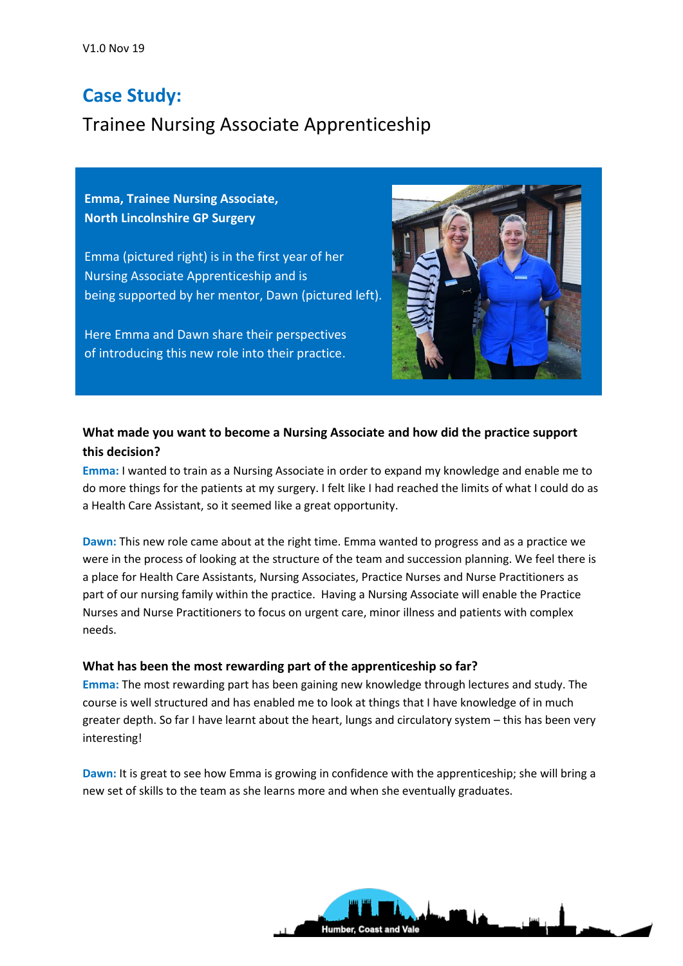# **Case Study:**

# Trainee Nursing Associate Apprenticeship

**Emma, Trainee Nursing Associate, North Lincolnshire GP Surgery**

Emma (pictured right) is in the first year of her Nursing Associate Apprenticeship and is being supported by her mentor, Dawn (pictured left).

Here Emma and Dawn share their perspectives of introducing this new role into their practice.



## **What made you want to become a Nursing Associate and how did the practice support this decision?**

**Emma:** I wanted to train as a Nursing Associate in order to expand my knowledge and enable me to do more things for the patients at my surgery. I felt like I had reached the limits of what I could do as a Health Care Assistant, so it seemed like a great opportunity.

**Dawn:** This new role came about at the right time. Emma wanted to progress and as a practice we were in the process of looking at the structure of the team and succession planning. We feel there is a place for Health Care Assistants, Nursing Associates, Practice Nurses and Nurse Practitioners as part of our nursing family within the practice. Having a Nursing Associate will enable the Practice Nurses and Nurse Practitioners to focus on urgent care, minor illness and patients with complex needs.

### **What has been the most rewarding part of the apprenticeship so far?**

**Emma:** The most rewarding part has been gaining new knowledge through lectures and study. The course is well structured and has enabled me to look at things that I have knowledge of in much greater depth. So far I have learnt about the heart, lungs and circulatory system – this has been very interesting!

**Dawn:** It is great to see how Emma is growing in confidence with the apprenticeship; she will bring a new set of skills to the team as she learns more and when she eventually graduates.